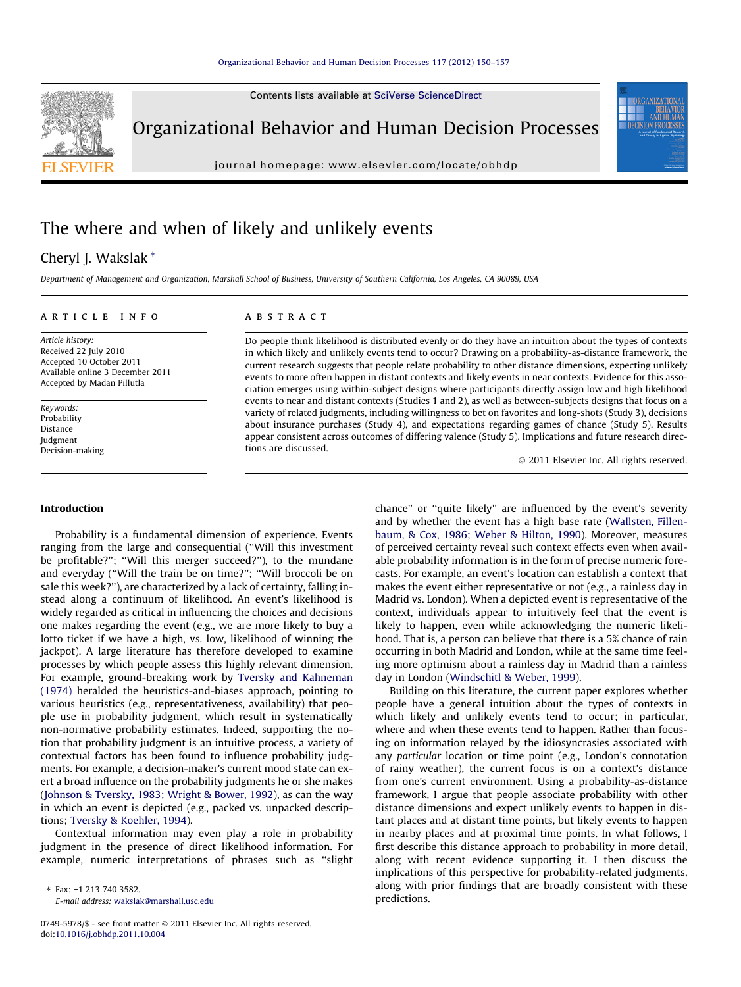Contents lists available at [SciVerse ScienceDirect](http://www.sciencedirect.com/science/journal/07495978)



Organizational Behavior and Human Decision Processes

journal homepage: [www.elsevier.com/locate/obhdp](http://www.elsevier.com/locate/obhdp)

# The where and when of likely and unlikely events

# Cheryl J. Wakslak\*

Department of Management and Organization, Marshall School of Business, University of Southern California, Los Angeles, CA 90089, USA

# article info

Article history: Received 22 July 2010 Accepted 10 October 2011 Available online 3 December 2011 Accepted by Madan Pillutla

Keywords: Probability Distance Judgment Decision-making

### Introduction

Probability is a fundamental dimension of experience. Events ranging from the large and consequential (''Will this investment be profitable?''; ''Will this merger succeed?''), to the mundane and everyday (''Will the train be on time?''; ''Will broccoli be on sale this week?''), are characterized by a lack of certainty, falling instead along a continuum of likelihood. An event's likelihood is widely regarded as critical in influencing the choices and decisions one makes regarding the event (e.g., we are more likely to buy a lotto ticket if we have a high, vs. low, likelihood of winning the jackpot). A large literature has therefore developed to examine processes by which people assess this highly relevant dimension. For example, ground-breaking work by [Tversky and Kahneman](#page-7-0) [\(1974\)](#page-7-0) heralded the heuristics-and-biases approach, pointing to various heuristics (e.g., representativeness, availability) that people use in probability judgment, which result in systematically non-normative probability estimates. Indeed, supporting the notion that probability judgment is an intuitive process, a variety of contextual factors has been found to influence probability judgments. For example, a decision-maker's current mood state can exert a broad influence on the probability judgments he or she makes ([Johnson & Tversky, 1983; Wright & Bower, 1992\)](#page-7-0), as can the way in which an event is depicted (e.g., packed vs. unpacked descriptions; [Tversky & Koehler, 1994\)](#page-7-0).

Contextual information may even play a role in probability judgment in the presence of direct likelihood information. For example, numeric interpretations of phrases such as ''slight

⇑ Fax: +1 213 740 3582. E-mail address: [wakslak@marshall.usc.edu](mailto:wakslak@marshall.usc.edu)

# **ABSTRACT**

Do people think likelihood is distributed evenly or do they have an intuition about the types of contexts in which likely and unlikely events tend to occur? Drawing on a probability-as-distance framework, the current research suggests that people relate probability to other distance dimensions, expecting unlikely events to more often happen in distant contexts and likely events in near contexts. Evidence for this association emerges using within-subject designs where participants directly assign low and high likelihood events to near and distant contexts (Studies 1 and 2), as well as between-subjects designs that focus on a variety of related judgments, including willingness to bet on favorites and long-shots (Study 3), decisions about insurance purchases (Study 4), and expectations regarding games of chance (Study 5). Results appear consistent across outcomes of differing valence (Study 5). Implications and future research directions are discussed.

- 2011 Elsevier Inc. All rights reserved.

chance'' or ''quite likely'' are influenced by the event's severity and by whether the event has a high base rate [\(Wallsten, Fillen](#page-7-0)[baum, & Cox, 1986; Weber & Hilton, 1990](#page-7-0)). Moreover, measures of perceived certainty reveal such context effects even when available probability information is in the form of precise numeric forecasts. For example, an event's location can establish a context that makes the event either representative or not (e.g., a rainless day in Madrid vs. London). When a depicted event is representative of the context, individuals appear to intuitively feel that the event is likely to happen, even while acknowledging the numeric likelihood. That is, a person can believe that there is a 5% chance of rain occurring in both Madrid and London, while at the same time feeling more optimism about a rainless day in Madrid than a rainless day in London ([Windschitl & Weber, 1999\)](#page-7-0).

Building on this literature, the current paper explores whether people have a general intuition about the types of contexts in which likely and unlikely events tend to occur; in particular, where and when these events tend to happen. Rather than focusing on information relayed by the idiosyncrasies associated with any particular location or time point (e.g., London's connotation of rainy weather), the current focus is on a context's distance from one's current environment. Using a probability-as-distance framework, I argue that people associate probability with other distance dimensions and expect unlikely events to happen in distant places and at distant time points, but likely events to happen in nearby places and at proximal time points. In what follows, I first describe this distance approach to probability in more detail, along with recent evidence supporting it. I then discuss the implications of this perspective for probability-related judgments, along with prior findings that are broadly consistent with these predictions.

<sup>0749-5978/\$ -</sup> see front matter © 2011 Elsevier Inc. All rights reserved. doi:[10.1016/j.obhdp.2011.10.004](http://dx.doi.org/10.1016/j.obhdp.2011.10.004)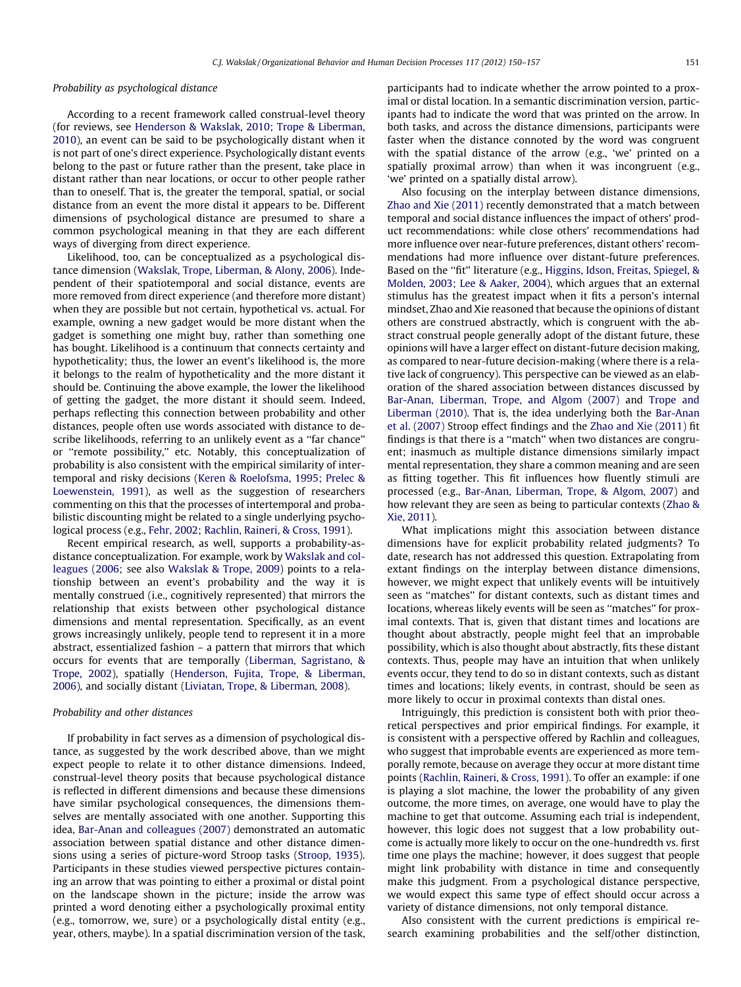### Probability as psychological distance

According to a recent framework called construal-level theory (for reviews, see [Henderson & Wakslak, 2010; Trope & Liberman,](#page-7-0) [2010](#page-7-0)), an event can be said to be psychologically distant when it is not part of one's direct experience. Psychologically distant events belong to the past or future rather than the present, take place in distant rather than near locations, or occur to other people rather than to oneself. That is, the greater the temporal, spatial, or social distance from an event the more distal it appears to be. Different dimensions of psychological distance are presumed to share a common psychological meaning in that they are each different ways of diverging from direct experience.

Likelihood, too, can be conceptualized as a psychological distance dimension ([Wakslak, Trope, Liberman, & Alony, 2006](#page-7-0)). Independent of their spatiotemporal and social distance, events are more removed from direct experience (and therefore more distant) when they are possible but not certain, hypothetical vs. actual. For example, owning a new gadget would be more distant when the gadget is something one might buy, rather than something one has bought. Likelihood is a continuum that connects certainty and hypotheticality; thus, the lower an event's likelihood is, the more it belongs to the realm of hypotheticality and the more distant it should be. Continuing the above example, the lower the likelihood of getting the gadget, the more distant it should seem. Indeed, perhaps reflecting this connection between probability and other distances, people often use words associated with distance to describe likelihoods, referring to an unlikely event as a ''far chance'' or ''remote possibility,'' etc. Notably, this conceptualization of probability is also consistent with the empirical similarity of intertemporal and risky decisions [\(Keren & Roelofsma, 1995; Prelec &](#page-7-0) [Loewenstein, 1991](#page-7-0)), as well as the suggestion of researchers commenting on this that the processes of intertemporal and probabilistic discounting might be related to a single underlying psychological process (e.g., [Fehr, 2002](#page-7-0); [Rachlin, Raineri, & Cross, 1991\)](#page-7-0).

Recent empirical research, as well, supports a probability-asdistance conceptualization. For example, work by [Wakslak and col](#page-7-0)[leagues \(2006;](#page-7-0) see also [Wakslak & Trope, 2009\)](#page-7-0) points to a relationship between an event's probability and the way it is mentally construed (i.e., cognitively represented) that mirrors the relationship that exists between other psychological distance dimensions and mental representation. Specifically, as an event grows increasingly unlikely, people tend to represent it in a more abstract, essentialized fashion – a pattern that mirrors that which occurs for events that are temporally [\(Liberman, Sagristano, &](#page-7-0) [Trope, 2002](#page-7-0)), spatially [\(Henderson, Fujita, Trope, & Liberman,](#page-7-0) [2006](#page-7-0)), and socially distant ([Liviatan, Trope, & Liberman, 2008\)](#page-7-0).

### Probability and other distances

If probability in fact serves as a dimension of psychological distance, as suggested by the work described above, than we might expect people to relate it to other distance dimensions. Indeed, construal-level theory posits that because psychological distance is reflected in different dimensions and because these dimensions have similar psychological consequences, the dimensions themselves are mentally associated with one another. Supporting this idea, [Bar-Anan and colleagues \(2007\)](#page-7-0) demonstrated an automatic association between spatial distance and other distance dimensions using a series of picture-word Stroop tasks ([Stroop, 1935\)](#page-7-0). Participants in these studies viewed perspective pictures containing an arrow that was pointing to either a proximal or distal point on the landscape shown in the picture; inside the arrow was printed a word denoting either a psychologically proximal entity (e.g., tomorrow, we, sure) or a psychologically distal entity (e.g., year, others, maybe). In a spatial discrimination version of the task, participants had to indicate whether the arrow pointed to a proximal or distal location. In a semantic discrimination version, participants had to indicate the word that was printed on the arrow. In both tasks, and across the distance dimensions, participants were faster when the distance connoted by the word was congruent with the spatial distance of the arrow (e.g., 'we' printed on a spatially proximal arrow) than when it was incongruent (e.g., 'we' printed on a spatially distal arrow).

Also focusing on the interplay between distance dimensions, [Zhao and Xie \(2011\)](#page-7-0) recently demonstrated that a match between temporal and social distance influences the impact of others' product recommendations: while close others' recommendations had more influence over near-future preferences, distant others' recommendations had more influence over distant-future preferences. Based on the "fit" literature (e.g., [Higgins, Idson, Freitas, Spiegel, &](#page-7-0) [Molden, 2003; Lee & Aaker, 2004](#page-7-0)), which argues that an external stimulus has the greatest impact when it fits a person's internal mindset, Zhao and Xie reasoned that because the opinions of distant others are construed abstractly, which is congruent with the abstract construal people generally adopt of the distant future, these opinions will have a larger effect on distant-future decision making, as compared to near-future decision-making (where there is a relative lack of congruency). This perspective can be viewed as an elaboration of the shared association between distances discussed by [Bar-Anan, Liberman, Trope, and Algom \(2007\)](#page-7-0) and [Trope and](#page-7-0) [Liberman \(2010\)](#page-7-0). That is, the idea underlying both the [Bar-Anan](#page-7-0) [et al. \(2007\)](#page-7-0) Stroop effect findings and the [Zhao and Xie \(2011\)](#page-7-0) fit findings is that there is a ''match'' when two distances are congruent; inasmuch as multiple distance dimensions similarly impact mental representation, they share a common meaning and are seen as fitting together. This fit influences how fluently stimuli are processed (e.g., [Bar-Anan, Liberman, Trope, & Algom, 2007\)](#page-7-0) and how relevant they are seen as being to particular contexts [\(Zhao &](#page-7-0) [Xie, 2011\)](#page-7-0).

What implications might this association between distance dimensions have for explicit probability related judgments? To date, research has not addressed this question. Extrapolating from extant findings on the interplay between distance dimensions, however, we might expect that unlikely events will be intuitively seen as ''matches'' for distant contexts, such as distant times and locations, whereas likely events will be seen as ''matches'' for proximal contexts. That is, given that distant times and locations are thought about abstractly, people might feel that an improbable possibility, which is also thought about abstractly, fits these distant contexts. Thus, people may have an intuition that when unlikely events occur, they tend to do so in distant contexts, such as distant times and locations; likely events, in contrast, should be seen as more likely to occur in proximal contexts than distal ones.

Intriguingly, this prediction is consistent both with prior theoretical perspectives and prior empirical findings. For example, it is consistent with a perspective offered by Rachlin and colleagues, who suggest that improbable events are experienced as more temporally remote, because on average they occur at more distant time points [\(Rachlin, Raineri, & Cross, 1991](#page-7-0)). To offer an example: if one is playing a slot machine, the lower the probability of any given outcome, the more times, on average, one would have to play the machine to get that outcome. Assuming each trial is independent, however, this logic does not suggest that a low probability outcome is actually more likely to occur on the one-hundredth vs. first time one plays the machine; however, it does suggest that people might link probability with distance in time and consequently make this judgment. From a psychological distance perspective, we would expect this same type of effect should occur across a variety of distance dimensions, not only temporal distance.

Also consistent with the current predictions is empirical research examining probabilities and the self/other distinction,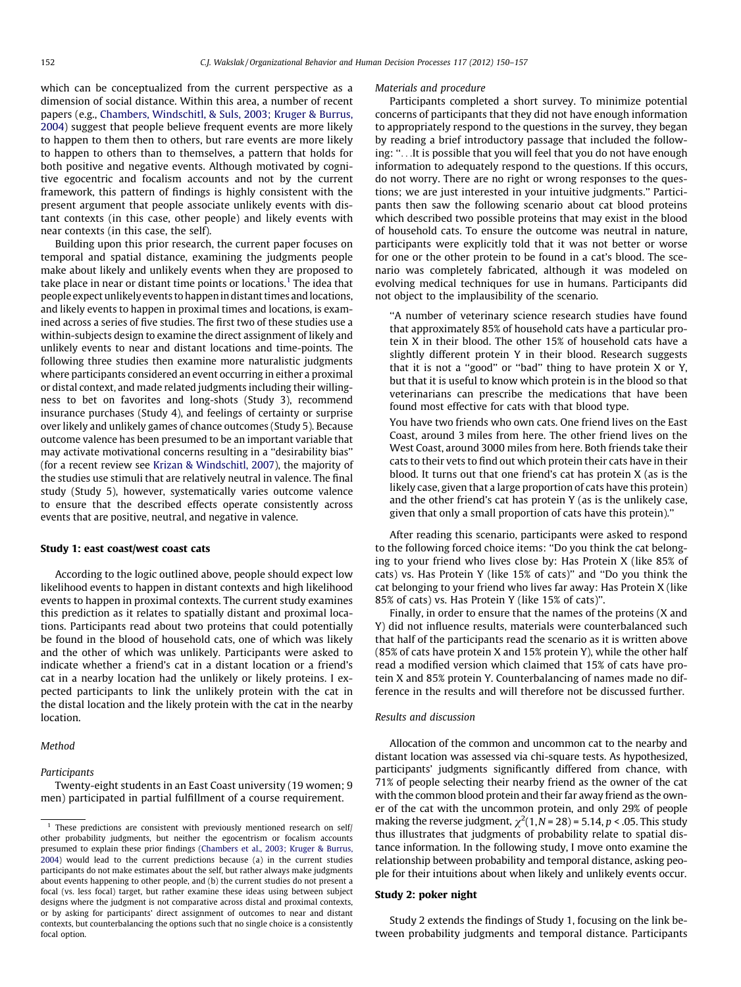which can be conceptualized from the current perspective as a dimension of social distance. Within this area, a number of recent papers (e.g., [Chambers, Windschitl, & Suls, 2003; Kruger & Burrus,](#page-7-0) [2004\)](#page-7-0) suggest that people believe frequent events are more likely to happen to them then to others, but rare events are more likely to happen to others than to themselves, a pattern that holds for both positive and negative events. Although motivated by cognitive egocentric and focalism accounts and not by the current framework, this pattern of findings is highly consistent with the present argument that people associate unlikely events with distant contexts (in this case, other people) and likely events with near contexts (in this case, the self).

Building upon this prior research, the current paper focuses on temporal and spatial distance, examining the judgments people make about likely and unlikely events when they are proposed to take place in near or distant time points or locations.<sup>1</sup> The idea that people expect unlikely events to happen in distant times and locations, and likely events to happen in proximal times and locations, is examined across a series of five studies. The first two of these studies use a within-subjects design to examine the direct assignment of likely and unlikely events to near and distant locations and time-points. The following three studies then examine more naturalistic judgments where participants considered an event occurring in either a proximal or distal context, and made related judgments including their willingness to bet on favorites and long-shots (Study 3), recommend insurance purchases (Study 4), and feelings of certainty or surprise over likely and unlikely games of chance outcomes (Study 5). Because outcome valence has been presumed to be an important variable that may activate motivational concerns resulting in a ''desirability bias'' (for a recent review see [Krizan & Windschitl, 2007\)](#page-7-0), the majority of the studies use stimuli that are relatively neutral in valence. The final study (Study 5), however, systematically varies outcome valence to ensure that the described effects operate consistently across events that are positive, neutral, and negative in valence.

### Study 1: east coast/west coast cats

According to the logic outlined above, people should expect low likelihood events to happen in distant contexts and high likelihood events to happen in proximal contexts. The current study examines this prediction as it relates to spatially distant and proximal locations. Participants read about two proteins that could potentially be found in the blood of household cats, one of which was likely and the other of which was unlikely. Participants were asked to indicate whether a friend's cat in a distant location or a friend's cat in a nearby location had the unlikely or likely proteins. I expected participants to link the unlikely protein with the cat in the distal location and the likely protein with the cat in the nearby location.

### Method

### Participants

Twenty-eight students in an East Coast university (19 women; 9 men) participated in partial fulfillment of a course requirement.

#### Materials and procedure

Participants completed a short survey. To minimize potential concerns of participants that they did not have enough information to appropriately respond to the questions in the survey, they began by reading a brief introductory passage that included the following: ''...It is possible that you will feel that you do not have enough information to adequately respond to the questions. If this occurs, do not worry. There are no right or wrong responses to the questions; we are just interested in your intuitive judgments.'' Participants then saw the following scenario about cat blood proteins which described two possible proteins that may exist in the blood of household cats. To ensure the outcome was neutral in nature, participants were explicitly told that it was not better or worse for one or the other protein to be found in a cat's blood. The scenario was completely fabricated, although it was modeled on evolving medical techniques for use in humans. Participants did not object to the implausibility of the scenario.

''A number of veterinary science research studies have found that approximately 85% of household cats have a particular protein X in their blood. The other 15% of household cats have a slightly different protein Y in their blood. Research suggests that it is not a ''good'' or ''bad'' thing to have protein X or Y, but that it is useful to know which protein is in the blood so that veterinarians can prescribe the medications that have been found most effective for cats with that blood type.

You have two friends who own cats. One friend lives on the East Coast, around 3 miles from here. The other friend lives on the West Coast, around 3000 miles from here. Both friends take their cats to their vets to find out which protein their cats have in their blood. It turns out that one friend's cat has protein X (as is the likely case, given that a large proportion of cats have this protein) and the other friend's cat has protein Y (as is the unlikely case, given that only a small proportion of cats have this protein).''

After reading this scenario, participants were asked to respond to the following forced choice items: ''Do you think the cat belonging to your friend who lives close by: Has Protein X (like 85% of cats) vs. Has Protein Y (like 15% of cats)'' and ''Do you think the cat belonging to your friend who lives far away: Has Protein X (like 85% of cats) vs. Has Protein Y (like 15% of cats)''.

Finally, in order to ensure that the names of the proteins (X and Y) did not influence results, materials were counterbalanced such that half of the participants read the scenario as it is written above (85% of cats have protein X and 15% protein Y), while the other half read a modified version which claimed that 15% of cats have protein X and 85% protein Y. Counterbalancing of names made no difference in the results and will therefore not be discussed further.

# Results and discussion

Allocation of the common and uncommon cat to the nearby and distant location was assessed via chi-square tests. As hypothesized, participants' judgments significantly differed from chance, with 71% of people selecting their nearby friend as the owner of the cat with the common blood protein and their far away friend as the owner of the cat with the uncommon protein, and only 29% of people making the reverse judgment,  $\chi^2(1, N = 28) = 5.14$ ,  $p < .05$ . This study thus illustrates that judgments of probability relate to spatial distance information. In the following study, I move onto examine the relationship between probability and temporal distance, asking people for their intuitions about when likely and unlikely events occur.

### Study 2: poker night

Study 2 extends the findings of Study 1, focusing on the link between probability judgments and temporal distance. Participants

 $1$  These predictions are consistent with previously mentioned research on self/ other probability judgments, but neither the egocentrism or focalism accounts presumed to explain these prior findings [\(Chambers et al., 2003; Kruger & Burrus,](#page-7-0) [2004](#page-7-0)) would lead to the current predictions because (a) in the current studies participants do not make estimates about the self, but rather always make judgments about events happening to other people, and (b) the current studies do not present a focal (vs. less focal) target, but rather examine these ideas using between subject designs where the judgment is not comparative across distal and proximal contexts, or by asking for participants' direct assignment of outcomes to near and distant contexts, but counterbalancing the options such that no single choice is a consistently focal option.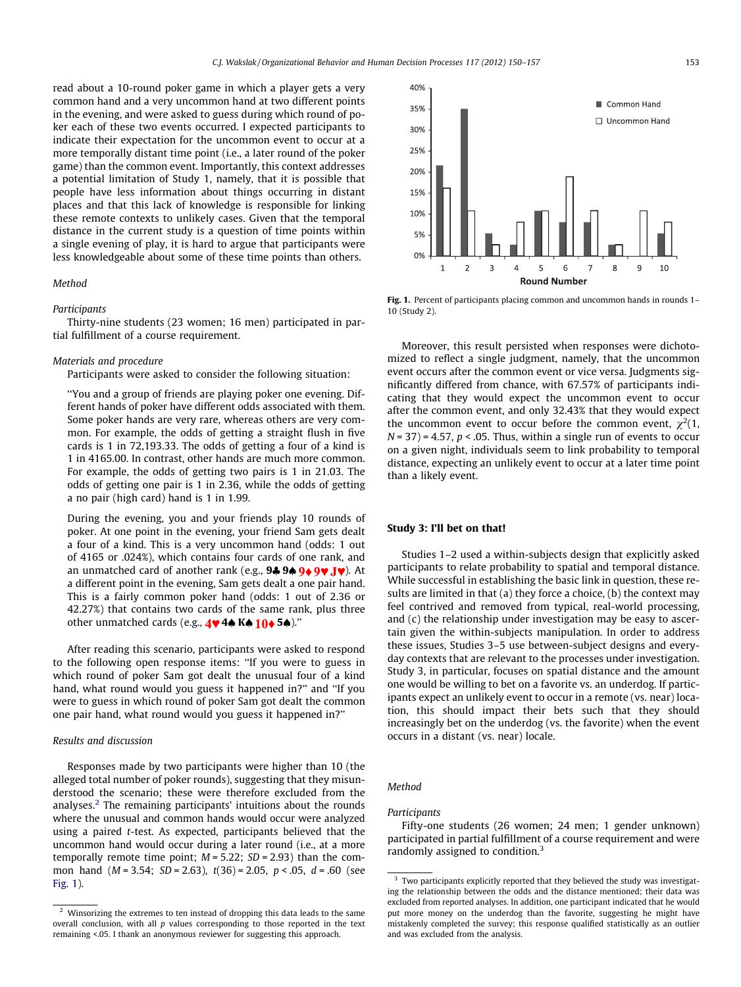read about a 10-round poker game in which a player gets a very common hand and a very uncommon hand at two different points in the evening, and were asked to guess during which round of poker each of these two events occurred. I expected participants to indicate their expectation for the uncommon event to occur at a more temporally distant time point (i.e., a later round of the poker game) than the common event. Importantly, this context addresses a potential limitation of Study 1, namely, that it is possible that people have less information about things occurring in distant places and that this lack of knowledge is responsible for linking these remote contexts to unlikely cases. Given that the temporal distance in the current study is a question of time points within a single evening of play, it is hard to argue that participants were less knowledgeable about some of these time points than others.

# Method

### Participants

Thirty-nine students (23 women; 16 men) participated in partial fulfillment of a course requirement.

### Materials and procedure

Participants were asked to consider the following situation:

''You and a group of friends are playing poker one evening. Different hands of poker have different odds associated with them. Some poker hands are very rare, whereas others are very common. For example, the odds of getting a straight flush in five cards is 1 in 72,193.33. The odds of getting a four of a kind is 1 in 4165.00. In contrast, other hands are much more common. For example, the odds of getting two pairs is 1 in 21.03. The odds of getting one pair is 1 in 2.36, while the odds of getting a no pair (high card) hand is 1 in 1.99.

During the evening, you and your friends play 10 rounds of poker. At one point in the evening, your friend Sam gets dealt a four of a kind. This is a very uncommon hand (odds: 1 out of 4165 or .024%), which contains four cards of one rank, and an unmatched card of another rank (e.g., **94 94 94 JV**). At a different point in the evening, Sam gets dealt a one pair hand. This is a fairly common poker hand (odds: 1 out of 2.36 or 42.27%) that contains two cards of the same rank, plus three other unmatched cards (e.g.,  $4$  $\blacktriangledown$  4 $\spadesuit$  K $\spadesuit$  10 $\spadesuit$  5 $\spadesuit$ )."

After reading this scenario, participants were asked to respond to the following open response items: ''If you were to guess in which round of poker Sam got dealt the unusual four of a kind hand, what round would you guess it happened in?" and "If you were to guess in which round of poker Sam got dealt the common one pair hand, what round would you guess it happened in?''

# Results and discussion

Responses made by two participants were higher than 10 (the alleged total number of poker rounds), suggesting that they misunderstood the scenario; these were therefore excluded from the analyses.2 The remaining participants' intuitions about the rounds where the unusual and common hands would occur were analyzed using a paired t-test. As expected, participants believed that the uncommon hand would occur during a later round (i.e., at a more temporally remote time point;  $M = 5.22$ ;  $SD = 2.93$ ) than the common hand  $(M = 3.54; SD = 2.63)$ ,  $t(36) = 2.05$ ,  $p < .05$ ,  $d = .60$  (see Fig. 1).



Fig. 1. Percent of participants placing common and uncommon hands in rounds 1– 10 (Study 2).

Moreover, this result persisted when responses were dichotomized to reflect a single judgment, namely, that the uncommon event occurs after the common event or vice versa. Judgments significantly differed from chance, with 67.57% of participants indicating that they would expect the uncommon event to occur after the common event, and only 32.43% that they would expect the uncommon event to occur before the common event,  $\chi^2(1)$  $(N = 37) = 4.57$ ,  $p < .05$ . Thus, within a single run of events to occur on a given night, individuals seem to link probability to temporal distance, expecting an unlikely event to occur at a later time point than a likely event.

### Study 3: I'll bet on that!

Studies 1–2 used a within-subjects design that explicitly asked participants to relate probability to spatial and temporal distance. While successful in establishing the basic link in question, these results are limited in that (a) they force a choice, (b) the context may feel contrived and removed from typical, real-world processing, and (c) the relationship under investigation may be easy to ascertain given the within-subjects manipulation. In order to address these issues, Studies 3–5 use between-subject designs and everyday contexts that are relevant to the processes under investigation. Study 3, in particular, focuses on spatial distance and the amount one would be willing to bet on a favorite vs. an underdog. If participants expect an unlikely event to occur in a remote (vs. near) location, this should impact their bets such that they should increasingly bet on the underdog (vs. the favorite) when the event occurs in a distant (vs. near) locale.

# Method

### Participants

Fifty-one students (26 women; 24 men; 1 gender unknown) participated in partial fulfillment of a course requirement and were randomly assigned to condition.<sup>3</sup>

 $2$  Winsorizing the extremes to ten instead of dropping this data leads to the same overall conclusion, with all  $p$  values corresponding to those reported in the text remaining <.05. I thank an anonymous reviewer for suggesting this approach.

 $3$  Two participants explicitly reported that they believed the study was investigating the relationship between the odds and the distance mentioned; their data was excluded from reported analyses. In addition, one participant indicated that he would put more money on the underdog than the favorite, suggesting he might have mistakenly completed the survey; this response qualified statistically as an outlier and was excluded from the analysis.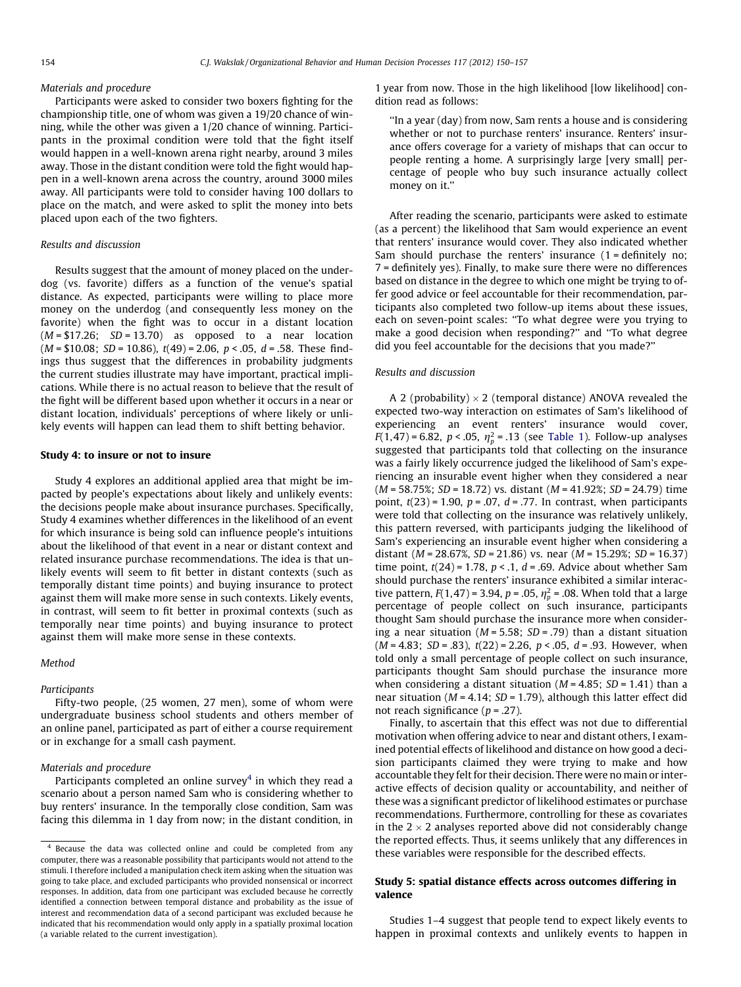### Materials and procedure

Participants were asked to consider two boxers fighting for the championship title, one of whom was given a 19/20 chance of winning, while the other was given a 1/20 chance of winning. Participants in the proximal condition were told that the fight itself would happen in a well-known arena right nearby, around 3 miles away. Those in the distant condition were told the fight would happen in a well-known arena across the country, around 3000 miles away. All participants were told to consider having 100 dollars to place on the match, and were asked to split the money into bets placed upon each of the two fighters.

# Results and discussion

Results suggest that the amount of money placed on the underdog (vs. favorite) differs as a function of the venue's spatial distance. As expected, participants were willing to place more money on the underdog (and consequently less money on the favorite) when the fight was to occur in a distant location  $(M = $17.26; SD = 13.70)$  as opposed to a near location  $(M = $10.08; SD = 10.86), t(49) = 2.06, p < .05, d = .58.$  These findings thus suggest that the differences in probability judgments the current studies illustrate may have important, practical implications. While there is no actual reason to believe that the result of the fight will be different based upon whether it occurs in a near or distant location, individuals' perceptions of where likely or unlikely events will happen can lead them to shift betting behavior.

# Study 4: to insure or not to insure

Study 4 explores an additional applied area that might be impacted by people's expectations about likely and unlikely events: the decisions people make about insurance purchases. Specifically, Study 4 examines whether differences in the likelihood of an event for which insurance is being sold can influence people's intuitions about the likelihood of that event in a near or distant context and related insurance purchase recommendations. The idea is that unlikely events will seem to fit better in distant contexts (such as temporally distant time points) and buying insurance to protect against them will make more sense in such contexts. Likely events, in contrast, will seem to fit better in proximal contexts (such as temporally near time points) and buying insurance to protect against them will make more sense in these contexts.

### Method

### Participants

Fifty-two people, (25 women, 27 men), some of whom were undergraduate business school students and others member of an online panel, participated as part of either a course requirement or in exchange for a small cash payment.

### Materials and procedure

Participants completed an online survey<sup>4</sup> in which they read a scenario about a person named Sam who is considering whether to buy renters' insurance. In the temporally close condition, Sam was facing this dilemma in 1 day from now; in the distant condition, in 1 year from now. Those in the high likelihood [low likelihood] condition read as follows:

''In a year (day) from now, Sam rents a house and is considering whether or not to purchase renters' insurance. Renters' insurance offers coverage for a variety of mishaps that can occur to people renting a home. A surprisingly large [very small] percentage of people who buy such insurance actually collect money on it.''

After reading the scenario, participants were asked to estimate (as a percent) the likelihood that Sam would experience an event that renters' insurance would cover. They also indicated whether Sam should purchase the renters' insurance  $(1 =$  definitely no; 7 = definitely yes). Finally, to make sure there were no differences based on distance in the degree to which one might be trying to offer good advice or feel accountable for their recommendation, participants also completed two follow-up items about these issues, each on seven-point scales: ''To what degree were you trying to make a good decision when responding?'' and ''To what degree did you feel accountable for the decisions that you made?''

### Results and discussion

A 2 (probability)  $\times$  2 (temporal distance) ANOVA revealed the expected two-way interaction on estimates of Sam's likelihood of experiencing an event renters' insurance would cover,  $F(1,47) = 6.82$ ,  $p < .05$ ,  $\eta_p^2 = .13$  (see [Table 1\)](#page-5-0). Follow-up analyses suggested that participants told that collecting on the insurance was a fairly likely occurrence judged the likelihood of Sam's experiencing an insurable event higher when they considered a near  $(M = 58.75\%; SD = 18.72)$  vs. distant  $(M = 41.92\%; SD = 24.79)$  time point,  $t(23) = 1.90$ ,  $p = .07$ ,  $d = .77$ . In contrast, when participants were told that collecting on the insurance was relatively unlikely, this pattern reversed, with participants judging the likelihood of Sam's experiencing an insurable event higher when considering a distant ( $M = 28.67\%$ ,  $SD = 21.86$ ) vs. near ( $M = 15.29\%$ ;  $SD = 16.37$ ) time point,  $t(24) = 1.78$ ,  $p < 0.1$ ,  $d = 0.69$ . Advice about whether Sam should purchase the renters' insurance exhibited a similar interactive pattern,  $F(1,47) = 3.94$ ,  $p = .05$ ,  $\eta_p^2 = .08$ . When told that a large percentage of people collect on such insurance, participants thought Sam should purchase the insurance more when considering a near situation ( $M = 5.58$ ;  $SD = .79$ ) than a distant situation  $(M = 4.83; SD = .83)$ ,  $t(22) = 2.26$ ,  $p < .05$ ,  $d = .93$ . However, when told only a small percentage of people collect on such insurance, participants thought Sam should purchase the insurance more when considering a distant situation ( $M = 4.85$ ;  $SD = 1.41$ ) than a near situation ( $M = 4.14$ ;  $SD = 1.79$ ), although this latter effect did not reach significance  $(p = .27)$ .

Finally, to ascertain that this effect was not due to differential motivation when offering advice to near and distant others, I examined potential effects of likelihood and distance on how good a decision participants claimed they were trying to make and how accountable they felt for their decision. There were no main or interactive effects of decision quality or accountability, and neither of these was a significant predictor of likelihood estimates or purchase recommendations. Furthermore, controlling for these as covariates in the  $2 \times 2$  analyses reported above did not considerably change the reported effects. Thus, it seems unlikely that any differences in these variables were responsible for the described effects.

# Study 5: spatial distance effects across outcomes differing in valence

Studies 1–4 suggest that people tend to expect likely events to happen in proximal contexts and unlikely events to happen in

<sup>4</sup> Because the data was collected online and could be completed from any computer, there was a reasonable possibility that participants would not attend to the stimuli. I therefore included a manipulation check item asking when the situation was going to take place, and excluded participants who provided nonsensical or incorrect responses. In addition, data from one participant was excluded because he correctly identified a connection between temporal distance and probability as the issue of interest and recommendation data of a second participant was excluded because he indicated that his recommendation would only apply in a spatially proximal location (a variable related to the current investigation).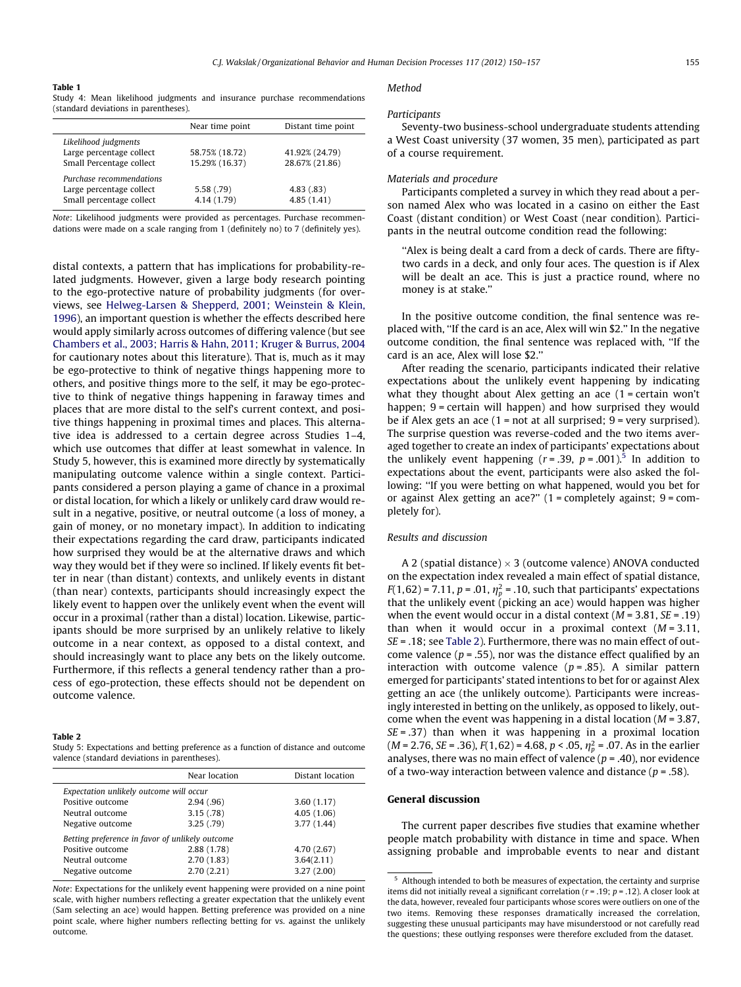#### <span id="page-5-0"></span>Table 1

Study 4: Mean likelihood judgments and insurance purchase recommendations (standard deviations in parentheses).

|                                                                                  | Near time point                  | Distant time point               |
|----------------------------------------------------------------------------------|----------------------------------|----------------------------------|
| Likelihood judgments<br>Large percentage collect<br>Small Percentage collect     | 58.75% (18.72)<br>15.29% (16.37) | 41.92% (24.79)<br>28.67% (21.86) |
| Purchase recommendations<br>Large percentage collect<br>Small percentage collect | 5.58 (.79)<br>4.14 (1.79)        | 4.83(.83)<br>4.85(1.41)          |

Note: Likelihood judgments were provided as percentages. Purchase recommendations were made on a scale ranging from 1 (definitely no) to 7 (definitely yes).

distal contexts, a pattern that has implications for probability-related judgments. However, given a large body research pointing to the ego-protective nature of probability judgments (for overviews, see [Helweg-Larsen & Shepperd, 2001; Weinstein & Klein,](#page-7-0) [1996\)](#page-7-0), an important question is whether the effects described here would apply similarly across outcomes of differing valence (but see [Chambers et al., 2003; Harris & Hahn, 2011; Kruger & Burrus, 2004](#page-7-0) for cautionary notes about this literature). That is, much as it may be ego-protective to think of negative things happening more to others, and positive things more to the self, it may be ego-protective to think of negative things happening in faraway times and places that are more distal to the self's current context, and positive things happening in proximal times and places. This alternative idea is addressed to a certain degree across Studies 1–4, which use outcomes that differ at least somewhat in valence. In Study 5, however, this is examined more directly by systematically manipulating outcome valence within a single context. Participants considered a person playing a game of chance in a proximal or distal location, for which a likely or unlikely card draw would result in a negative, positive, or neutral outcome (a loss of money, a gain of money, or no monetary impact). In addition to indicating their expectations regarding the card draw, participants indicated how surprised they would be at the alternative draws and which way they would bet if they were so inclined. If likely events fit better in near (than distant) contexts, and unlikely events in distant (than near) contexts, participants should increasingly expect the likely event to happen over the unlikely event when the event will occur in a proximal (rather than a distal) location. Likewise, participants should be more surprised by an unlikely relative to likely outcome in a near context, as opposed to a distal context, and should increasingly want to place any bets on the likely outcome. Furthermore, if this reflects a general tendency rather than a process of ego-protection, these effects should not be dependent on outcome valence.

### Table 2

Study 5: Expectations and betting preference as a function of distance and outcome valence (standard deviations in parentheses).

|                                                 | Near location | Distant location |  |
|-------------------------------------------------|---------------|------------------|--|
| Expectation unlikely outcome will occur         |               |                  |  |
| Positive outcome                                | 2.94(.96)     | 3.60(1.17)       |  |
| Neutral outcome                                 | 3.15(.78)     | 4.05(1.06)       |  |
| Negative outcome                                | 3.25(.79)     | 3.77(1.44)       |  |
| Betting preference in favor of unlikely outcome |               |                  |  |
| Positive outcome                                | 2.88(1.78)    | 4.70 (2.67)      |  |
| Neutral outcome                                 | 2.70(1.83)    | 3.64(2.11)       |  |
| Negative outcome                                | 2.70(2.21)    | 3.27(2.00)       |  |

Note: Expectations for the unlikely event happening were provided on a nine point scale, with higher numbers reflecting a greater expectation that the unlikely event (Sam selecting an ace) would happen. Betting preference was provided on a nine point scale, where higher numbers reflecting betting for vs. against the unlikely outcome.

### **Method**

### **Participants**

Seventy-two business-school undergraduate students attending a West Coast university (37 women, 35 men), participated as part of a course requirement.

# Materials and procedure

Participants completed a survey in which they read about a person named Alex who was located in a casino on either the East Coast (distant condition) or West Coast (near condition). Participants in the neutral outcome condition read the following:

''Alex is being dealt a card from a deck of cards. There are fiftytwo cards in a deck, and only four aces. The question is if Alex will be dealt an ace. This is just a practice round, where no money is at stake.''

In the positive outcome condition, the final sentence was replaced with, ''If the card is an ace, Alex will win \$2.'' In the negative outcome condition, the final sentence was replaced with, ''If the card is an ace, Alex will lose \$2.''

After reading the scenario, participants indicated their relative expectations about the unlikely event happening by indicating what they thought about Alex getting an ace (1 = certain won't happen; 9 = certain will happen) and how surprised they would be if Alex gets an ace  $(1 = not at all surprised; 9 = very surprised)$ . The surprise question was reverse-coded and the two items averaged together to create an index of participants' expectations about the unlikely event happening ( $r = .39$ ,  $p = .001$ ).<sup>5</sup> In addition to expectations about the event, participants were also asked the following: ''If you were betting on what happened, would you bet for or against Alex getting an ace?"  $(1 =$ completely against;  $9 =$ completely for).

# Results and discussion

A 2 (spatial distance)  $\times$  3 (outcome valence) ANOVA conducted on the expectation index revealed a main effect of spatial distance,  $F(1,62)$  = 7.11, p = .01,  $\eta_p^2$  = .10, such that participants' expectations that the unlikely event (picking an ace) would happen was higher when the event would occur in a distal context  $(M = 3.81, SE = .19)$ than when it would occur in a proximal context  $(M = 3.11,$  $SE = .18$ ; see Table 2). Furthermore, there was no main effect of outcome valence ( $p = .55$ ), nor was the distance effect qualified by an interaction with outcome valence  $(p=.85)$ . A similar pattern emerged for participants' stated intentions to bet for or against Alex getting an ace (the unlikely outcome). Participants were increasingly interested in betting on the unlikely, as opposed to likely, outcome when the event was happening in a distal location ( $M = 3.87$ ,  $SE = .37$ ) than when it was happening in a proximal location  $(M = 2.76, SE = .36)$ ,  $F(1,62) = 4.68$ ,  $p < .05$ ,  $\eta_p^2 = .07$ . As in the earlier analyses, there was no main effect of valence ( $p = .40$ ), nor evidence of a two-way interaction between valence and distance ( $p = .58$ ).

### General discussion

The current paper describes five studies that examine whether people match probability with distance in time and space. When assigning probable and improbable events to near and distant

 $^{\rm 5}$  Although intended to both be measures of expectation, the certainty and surprise items did not initially reveal a significant correlation ( $r = .19$ ;  $p = .12$ ). A closer look at the data, however, revealed four participants whose scores were outliers on one of the two items. Removing these responses dramatically increased the correlation, suggesting these unusual participants may have misunderstood or not carefully read the questions; these outlying responses were therefore excluded from the dataset.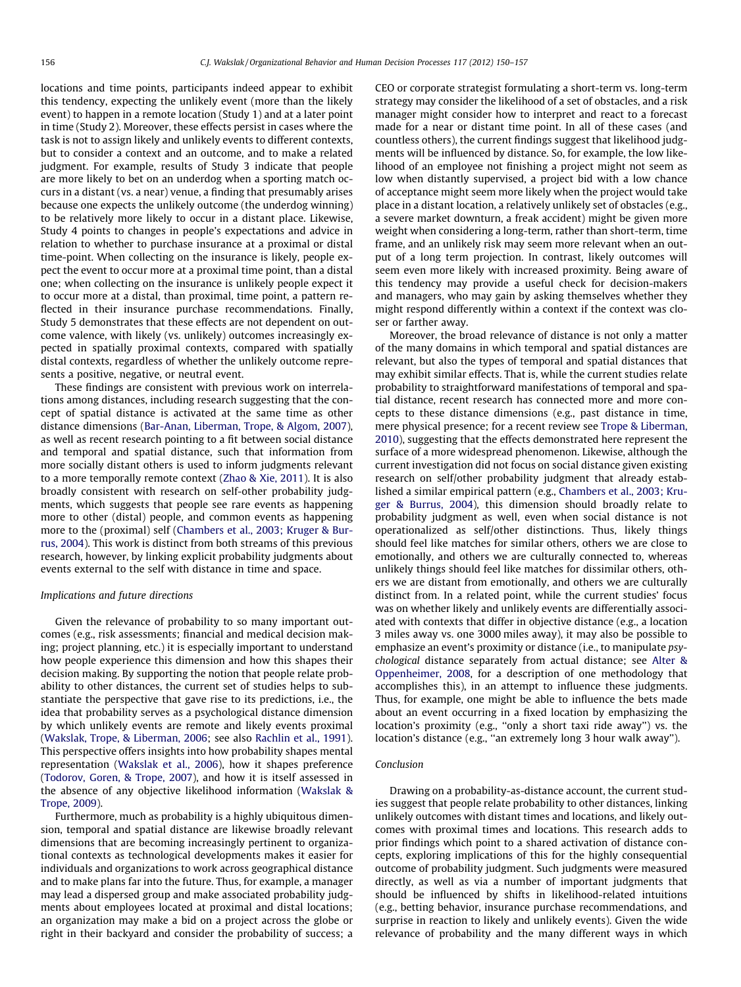locations and time points, participants indeed appear to exhibit this tendency, expecting the unlikely event (more than the likely event) to happen in a remote location (Study 1) and at a later point in time (Study 2). Moreover, these effects persist in cases where the task is not to assign likely and unlikely events to different contexts, but to consider a context and an outcome, and to make a related judgment. For example, results of Study 3 indicate that people are more likely to bet on an underdog when a sporting match occurs in a distant (vs. a near) venue, a finding that presumably arises because one expects the unlikely outcome (the underdog winning) to be relatively more likely to occur in a distant place. Likewise, Study 4 points to changes in people's expectations and advice in relation to whether to purchase insurance at a proximal or distal time-point. When collecting on the insurance is likely, people expect the event to occur more at a proximal time point, than a distal one; when collecting on the insurance is unlikely people expect it to occur more at a distal, than proximal, time point, a pattern reflected in their insurance purchase recommendations. Finally, Study 5 demonstrates that these effects are not dependent on outcome valence, with likely (vs. unlikely) outcomes increasingly expected in spatially proximal contexts, compared with spatially distal contexts, regardless of whether the unlikely outcome represents a positive, negative, or neutral event.

These findings are consistent with previous work on interrelations among distances, including research suggesting that the concept of spatial distance is activated at the same time as other distance dimensions [\(Bar-Anan, Liberman, Trope, & Algom, 2007\)](#page-7-0), as well as recent research pointing to a fit between social distance and temporal and spatial distance, such that information from more socially distant others is used to inform judgments relevant to a more temporally remote context ([Zhao & Xie, 2011](#page-7-0)). It is also broadly consistent with research on self-other probability judgments, which suggests that people see rare events as happening more to other (distal) people, and common events as happening more to the (proximal) self [\(Chambers et al., 2003; Kruger & Bur](#page-7-0)[rus, 2004\)](#page-7-0). This work is distinct from both streams of this previous research, however, by linking explicit probability judgments about events external to the self with distance in time and space.

### Implications and future directions

Given the relevance of probability to so many important outcomes (e.g., risk assessments; financial and medical decision making; project planning, etc.) it is especially important to understand how people experience this dimension and how this shapes their decision making. By supporting the notion that people relate probability to other distances, the current set of studies helps to substantiate the perspective that gave rise to its predictions, i.e., the idea that probability serves as a psychological distance dimension by which unlikely events are remote and likely events proximal ([Wakslak, Trope, & Liberman, 2006;](#page-7-0) see also [Rachlin et al., 1991\)](#page-7-0). This perspective offers insights into how probability shapes mental representation ([Wakslak et al., 2006\)](#page-7-0), how it shapes preference ([Todorov, Goren, & Trope, 2007\)](#page-7-0), and how it is itself assessed in the absence of any objective likelihood information [\(Wakslak &](#page-7-0) [Trope, 2009\)](#page-7-0).

Furthermore, much as probability is a highly ubiquitous dimension, temporal and spatial distance are likewise broadly relevant dimensions that are becoming increasingly pertinent to organizational contexts as technological developments makes it easier for individuals and organizations to work across geographical distance and to make plans far into the future. Thus, for example, a manager may lead a dispersed group and make associated probability judgments about employees located at proximal and distal locations; an organization may make a bid on a project across the globe or right in their backyard and consider the probability of success; a CEO or corporate strategist formulating a short-term vs. long-term strategy may consider the likelihood of a set of obstacles, and a risk manager might consider how to interpret and react to a forecast made for a near or distant time point. In all of these cases (and countless others), the current findings suggest that likelihood judgments will be influenced by distance. So, for example, the low likelihood of an employee not finishing a project might not seem as low when distantly supervised, a project bid with a low chance of acceptance might seem more likely when the project would take place in a distant location, a relatively unlikely set of obstacles (e.g., a severe market downturn, a freak accident) might be given more weight when considering a long-term, rather than short-term, time frame, and an unlikely risk may seem more relevant when an output of a long term projection. In contrast, likely outcomes will seem even more likely with increased proximity. Being aware of this tendency may provide a useful check for decision-makers and managers, who may gain by asking themselves whether they might respond differently within a context if the context was closer or farther away.

Moreover, the broad relevance of distance is not only a matter of the many domains in which temporal and spatial distances are relevant, but also the types of temporal and spatial distances that may exhibit similar effects. That is, while the current studies relate probability to straightforward manifestations of temporal and spatial distance, recent research has connected more and more concepts to these distance dimensions (e.g., past distance in time, mere physical presence; for a recent review see [Trope & Liberman,](#page-7-0) [2010\)](#page-7-0), suggesting that the effects demonstrated here represent the surface of a more widespread phenomenon. Likewise, although the current investigation did not focus on social distance given existing research on self/other probability judgment that already established a similar empirical pattern (e.g., [Chambers et al., 2003; Kru](#page-7-0)[ger & Burrus, 2004](#page-7-0)), this dimension should broadly relate to probability judgment as well, even when social distance is not operationalized as self/other distinctions. Thus, likely things should feel like matches for similar others, others we are close to emotionally, and others we are culturally connected to, whereas unlikely things should feel like matches for dissimilar others, others we are distant from emotionally, and others we are culturally distinct from. In a related point, while the current studies' focus was on whether likely and unlikely events are differentially associated with contexts that differ in objective distance (e.g., a location 3 miles away vs. one 3000 miles away), it may also be possible to emphasize an event's proximity or distance (i.e., to manipulate psychological distance separately from actual distance; see [Alter &](#page-7-0) [Oppenheimer, 2008](#page-7-0), for a description of one methodology that accomplishes this), in an attempt to influence these judgments. Thus, for example, one might be able to influence the bets made about an event occurring in a fixed location by emphasizing the location's proximity (e.g., "only a short taxi ride away") vs. the location's distance (e.g., ''an extremely long 3 hour walk away'').

# Conclusion

Drawing on a probability-as-distance account, the current studies suggest that people relate probability to other distances, linking unlikely outcomes with distant times and locations, and likely outcomes with proximal times and locations. This research adds to prior findings which point to a shared activation of distance concepts, exploring implications of this for the highly consequential outcome of probability judgment. Such judgments were measured directly, as well as via a number of important judgments that should be influenced by shifts in likelihood-related intuitions (e.g., betting behavior, insurance purchase recommendations, and surprise in reaction to likely and unlikely events). Given the wide relevance of probability and the many different ways in which